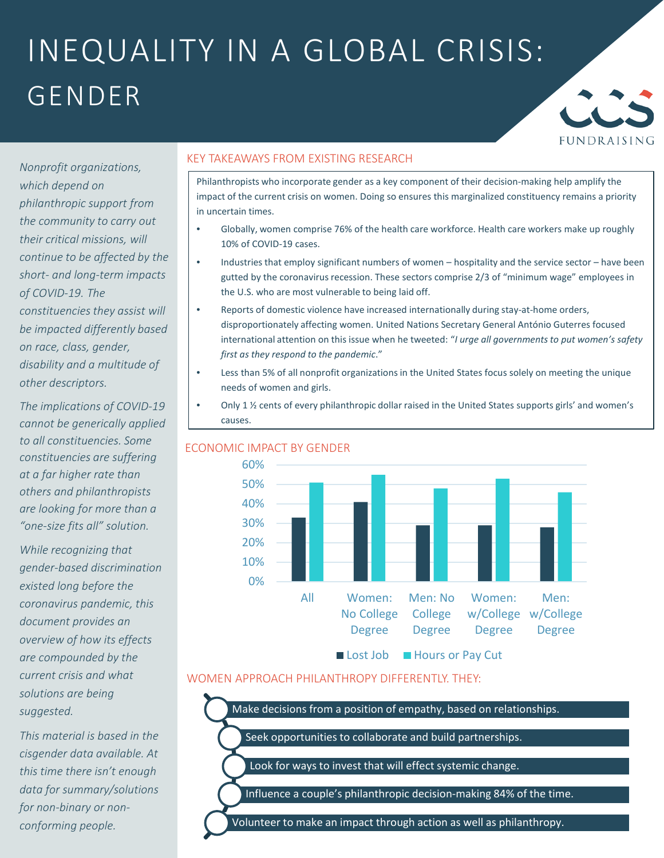## INEQUALITY IN A GLOBAL CRISIS: GENDER



*Nonprofit organizations, which depend on philanthropic support from the community to carry out their critical missions, will continue to be affected by the short- and long-term impacts of COVID-19. The constituencies they assist will be impacted differently based on race, class, gender, disability and a multitude of other descriptors.*

*The implications of COVID-19 cannot be generically applied to all constituencies. Some constituencies are suffering at a far higher rate than others and philanthropists are looking for more than a "one-size fits all" solution.*

*While recognizing that gender-based discrimination existed long before the coronavirus pandemic, this document provides an overview of how its effects are compounded by the current crisis and what solutions are being suggested.*

*This material is based in the cisgender data available. At this time there isn't enough data for summary/solutions for non-binary or nonconforming people.* 

#### KEY TAKEAWAYS FROM EXISTING RESEARCH

Philanthropists who incorporate gender as a key component of their decision-making help amplify the impact of the current crisis on women. Doing so ensures this marginalized constituency remains a priority in uncertain times.

- Globally, women comprise 76% of the health care workforce. Health care workers make up roughly 10% of COVID-19 cases.
- Industries that employ significant numbers of women hospitality and the service sector have been gutted by the coronavirus recession. These sectors comprise 2/3 of "minimum wage" employees in the U.S. who are most vulnerable to being laid off.
- Reports of domestic violence have increased internationally during stay-at-home orders, disproportionately affecting women. United Nations Secretary General António Guterres focused international attention on this issue when he tweeted: "*I urge all governments to put women's safety first as they respond to the pandemic*."
- Less than 5% of all nonprofit organizations in the United States focus solely on meeting the unique needs of women and girls.
- Only 1 ½ cents of every philanthropic dollar raised in the United States supports girls' and women's causes.



### WOMEN APPROACH PHILANTHROPY DIFFERENTLY. THEY:

Make decisions from a position of empathy, based on relationships.

Seek opportunities to collaborate and build partnerships.

Look for ways to invest that will effect systemic change.

Influence a couple's philanthropic decision-making 84% of the time.

Volunteer to make an impact through action as well as philanthropy.